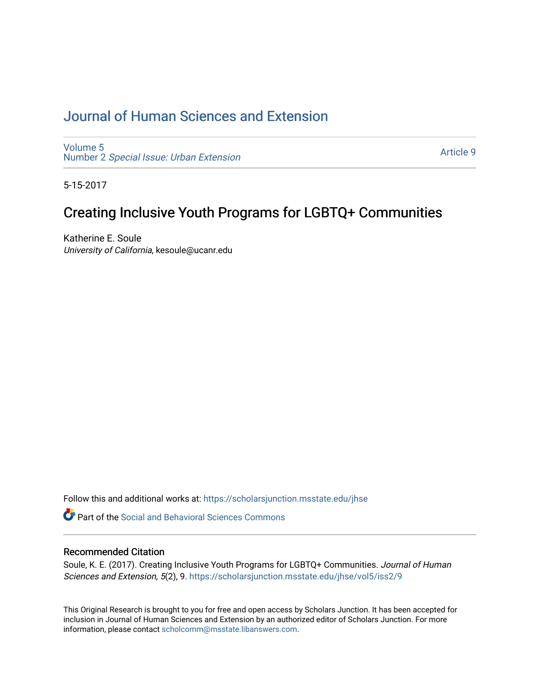## [Journal of Human Sciences and Extension](https://scholarsjunction.msstate.edu/jhse)

[Volume 5](https://scholarsjunction.msstate.edu/jhse/vol5) Number 2 [Special Issue: Urban Extension](https://scholarsjunction.msstate.edu/jhse/vol5/iss2) 

[Article 9](https://scholarsjunction.msstate.edu/jhse/vol5/iss2/9) 

5-15-2017

# Creating Inclusive Youth Programs for LGBTQ+ Communities

Katherine E. Soule University of California, kesoule@ucanr.edu

Follow this and additional works at: [https://scholarsjunction.msstate.edu/jhse](https://scholarsjunction.msstate.edu/jhse?utm_source=scholarsjunction.msstate.edu%2Fjhse%2Fvol5%2Fiss2%2F9&utm_medium=PDF&utm_campaign=PDFCoverPages)

**C** Part of the Social and Behavioral Sciences Commons

#### Recommended Citation

Soule, K. E. (2017). Creating Inclusive Youth Programs for LGBTQ+ Communities. Journal of Human Sciences and Extension, 5(2), 9. [https://scholarsjunction.msstate.edu/jhse/vol5/iss2/9](https://scholarsjunction.msstate.edu/jhse/vol5/iss2/9?utm_source=scholarsjunction.msstate.edu%2Fjhse%2Fvol5%2Fiss2%2F9&utm_medium=PDF&utm_campaign=PDFCoverPages)

This Original Research is brought to you for free and open access by Scholars Junction. It has been accepted for inclusion in Journal of Human Sciences and Extension by an authorized editor of Scholars Junction. For more information, please contact [scholcomm@msstate.libanswers.com](mailto:scholcomm@msstate.libanswers.com).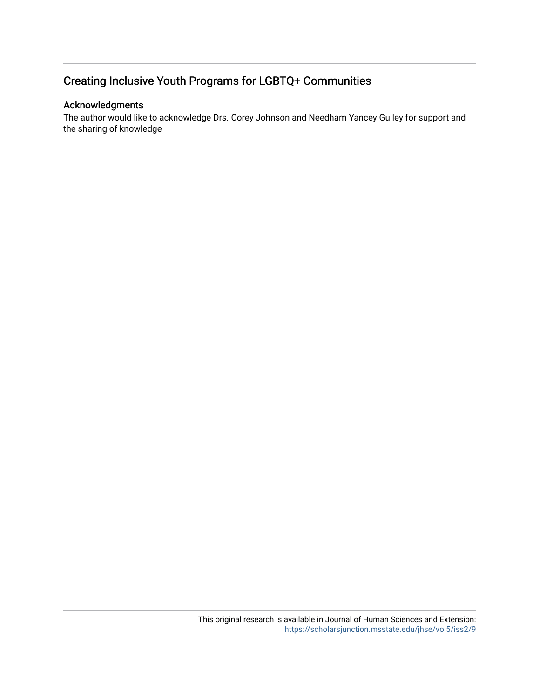## Creating Inclusive Youth Programs for LGBTQ+ Communities

### Acknowledgments

The author would like to acknowledge Drs. Corey Johnson and Needham Yancey Gulley for support and the sharing of knowledge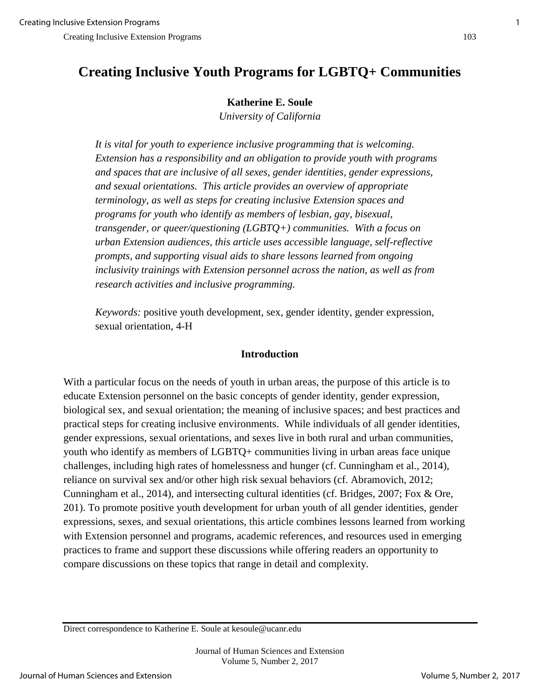# **Creating Inclusive Youth Programs for LGBTQ+ Communities**

### **Katherine E. Soule**

*University of California* 

*It is vital for youth to experience inclusive programming that is welcoming. Extension has a responsibility and an obligation to provide youth with programs and spaces that are inclusive of all sexes, gender identities, gender expressions, and sexual orientations. This article provides an overview of appropriate terminology, as well as steps for creating inclusive Extension spaces and programs for youth who identify as members of lesbian, gay, bisexual, transgender, or queer/questioning (LGBTQ+) communities. With a focus on urban Extension audiences, this article uses accessible language, self-reflective prompts, and supporting visual aids to share lessons learned from ongoing inclusivity trainings with Extension personnel across the nation, as well as from research activities and inclusive programming.* 

*Keywords:* positive youth development, sex, gender identity, gender expression, sexual orientation, 4-H

## **Introduction**

With a particular focus on the needs of youth in urban areas, the purpose of this article is to educate Extension personnel on the basic concepts of gender identity, gender expression, biological sex, and sexual orientation; the meaning of inclusive spaces; and best practices and practical steps for creating inclusive environments. While individuals of all gender identities, gender expressions, sexual orientations, and sexes live in both rural and urban communities, youth who identify as members of LGBTQ+ communities living in urban areas face unique challenges, including high rates of homelessness and hunger (cf. Cunningham et al., 2014), reliance on survival sex and/or other high risk sexual behaviors (cf. Abramovich, 2012; Cunningham et al., 2014), and intersecting cultural identities (cf. Bridges, 2007; Fox & Ore, 201). To promote positive youth development for urban youth of all gender identities, gender expressions, sexes, and sexual orientations, this article combines lessons learned from working with Extension personnel and programs, academic references, and resources used in emerging practices to frame and support these discussions while offering readers an opportunity to compare discussions on these topics that range in detail and complexity.

Direct correspondence to Katherine E. Soule at kesoule@ucanr.edu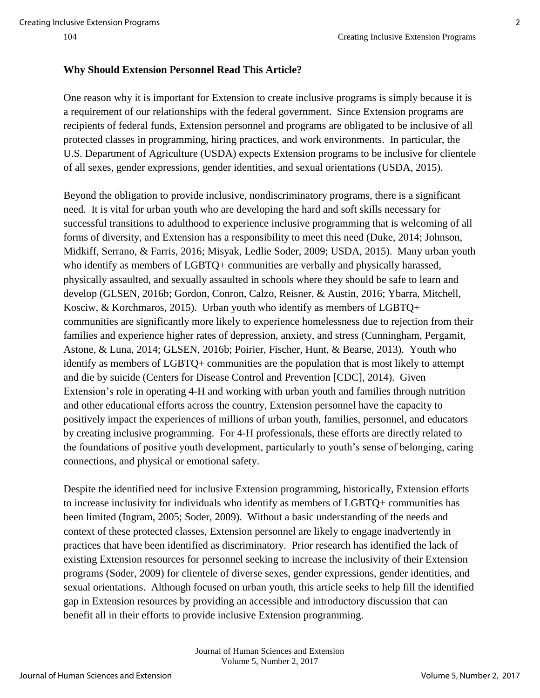#### **Why Should Extension Personnel Read This Article?**

One reason why it is important for Extension to create inclusive programs is simply because it is a requirement of our relationships with the federal government. Since Extension programs are recipients of federal funds, Extension personnel and programs are obligated to be inclusive of all protected classes in programming, hiring practices, and work environments. In particular, the U.S. Department of Agriculture (USDA) expects Extension programs to be inclusive for clientele of all sexes, gender expressions, gender identities, and sexual orientations (USDA, 2015).

Beyond the obligation to provide inclusive, nondiscriminatory programs, there is a significant need. It is vital for urban youth who are developing the hard and soft skills necessary for successful transitions to adulthood to experience inclusive programming that is welcoming of all forms of diversity, and Extension has a responsibility to meet this need (Duke, 2014; Johnson, Midkiff, Serrano, & Farris, 2016; Misyak, Ledlie Soder, 2009; USDA, 2015). Many urban youth who identify as members of LGBTQ+ communities are verbally and physically harassed, physically assaulted, and sexually assaulted in schools where they should be safe to learn and develop (GLSEN, 2016b; Gordon, Conron, Calzo, Reisner, & Austin, 2016; Ybarra, Mitchell, Kosciw, & Korchmaros, 2015). Urban youth who identify as members of LGBTQ+ communities are significantly more likely to experience homelessness due to rejection from their families and experience higher rates of depression, anxiety, and stress (Cunningham, Pergamit, Astone, & Luna, 2014; GLSEN, 2016b; Poirier, Fischer, Hunt, & Bearse, 2013). Youth who identify as members of LGBTQ+ communities are the population that is most likely to attempt and die by suicide (Centers for Disease Control and Prevention [CDC], 2014). Given Extension's role in operating 4-H and working with urban youth and families through nutrition and other educational efforts across the country, Extension personnel have the capacity to positively impact the experiences of millions of urban youth, families, personnel, and educators by creating inclusive programming. For 4-H professionals, these efforts are directly related to the foundations of positive youth development, particularly to youth's sense of belonging, caring connections, and physical or emotional safety.

Despite the identified need for inclusive Extension programming, historically, Extension efforts to increase inclusivity for individuals who identify as members of LGBTQ+ communities has been limited (Ingram, 2005; Soder, 2009). Without a basic understanding of the needs and context of these protected classes, Extension personnel are likely to engage inadvertently in practices that have been identified as discriminatory. Prior research has identified the lack of existing Extension resources for personnel seeking to increase the inclusivity of their Extension programs (Soder, 2009) for clientele of diverse sexes, gender expressions, gender identities, and sexual orientations. Although focused on urban youth, this article seeks to help fill the identified gap in Extension resources by providing an accessible and introductory discussion that can benefit all in their efforts to provide inclusive Extension programming.

> Journal of Human Sciences and Extension Volume 5, Number 2, 2017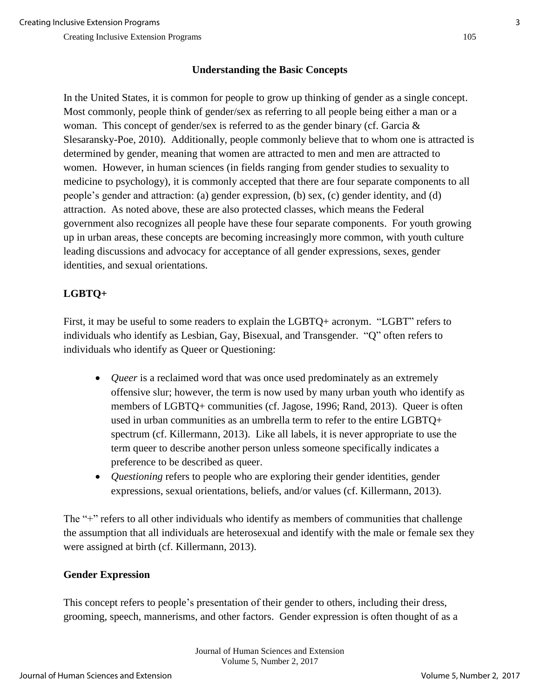## **Understanding the Basic Concepts**

In the United States, it is common for people to grow up thinking of gender as a single concept. Most commonly, people think of gender/sex as referring to all people being either a man or a woman. This concept of gender/sex is referred to as the gender binary (cf. Garcia & Slesaransky-Poe, 2010). Additionally, people commonly believe that to whom one is attracted is determined by gender, meaning that women are attracted to men and men are attracted to women. However, in human sciences (in fields ranging from gender studies to sexuality to medicine to psychology), it is commonly accepted that there are four separate components to all people's gender and attraction: (a) gender expression, (b) sex, (c) gender identity, and (d) attraction. As noted above, these are also protected classes, which means the Federal government also recognizes all people have these four separate components. For youth growing up in urban areas, these concepts are becoming increasingly more common, with youth culture leading discussions and advocacy for acceptance of all gender expressions, sexes, gender identities, and sexual orientations.

## **LGBTQ+**

First, it may be useful to some readers to explain the LGBTQ+ acronym. "LGBT" refers to individuals who identify as Lesbian, Gay, Bisexual, and Transgender. "Q" often refers to individuals who identify as Queer or Questioning:

- *Queer* is a reclaimed word that was once used predominately as an extremely offensive slur; however, the term is now used by many urban youth who identify as members of LGBTQ+ communities (cf. Jagose, 1996; Rand, 2013). Queer is often used in urban communities as an umbrella term to refer to the entire LGBTQ+ spectrum (cf. Killermann, 2013). Like all labels, it is never appropriate to use the term queer to describe another person unless someone specifically indicates a preference to be described as queer.
- *Questioning* refers to people who are exploring their gender identities, gender expressions, sexual orientations, beliefs, and/or values (cf. Killermann, 2013).

The "+" refers to all other individuals who identify as members of communities that challenge the assumption that all individuals are heterosexual and identify with the male or female sex they were assigned at birth (cf. Killermann, 2013).

## **Gender Expression**

This concept refers to people's presentation of their gender to others, including their dress, grooming, speech, mannerisms, and other factors. Gender expression is often thought of as a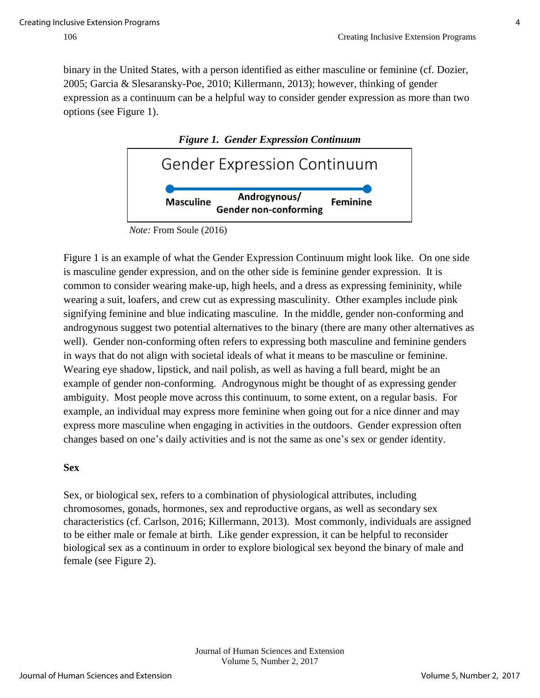binary in the United States, with a person identified as either masculine or feminine (cf. Dozier, 2005; Garcia & Slesaransky-Poe, 2010; Killermann, 2013); however, thinking of gender expression as a continuum can be a helpful way to consider gender expression as more than two options (see Figure 1).



Figure 1 is an example of what the Gender Expression Continuum might look like. On one side is masculine gender expression, and on the other side is feminine gender expression. It is common to consider wearing make-up, high heels, and a dress as expressing femininity, while wearing a suit, loafers, and crew cut as expressing masculinity. Other examples include pink signifying feminine and blue indicating masculine. In the middle, gender non-conforming and androgynous suggest two potential alternatives to the binary (there are many other alternatives as well). Gender non-conforming often refers to expressing both masculine and feminine genders in ways that do not align with societal ideals of what it means to be masculine or feminine. Wearing eye shadow, lipstick, and nail polish, as well as having a full beard, might be an example of gender non-conforming. Androgynous might be thought of as expressing gender ambiguity. Most people move across this continuum, to some extent, on a regular basis. For example, an individual may express more feminine when going out for a nice dinner and may express more masculine when engaging in activities in the outdoors. Gender expression often changes based on one's daily activities and is not the same as one's sex or gender identity.

## **Sex**

Sex, or biological sex, refers to a combination of physiological attributes, including chromosomes, gonads, hormones, sex and reproductive organs, as well as secondary sex characteristics (cf. Carlson, 2016; Killermann, 2013). Most commonly, individuals are assigned to be either male or female at birth. Like gender expression, it can be helpful to reconsider biological sex as a continuum in order to explore biological sex beyond the binary of male and female (see Figure 2).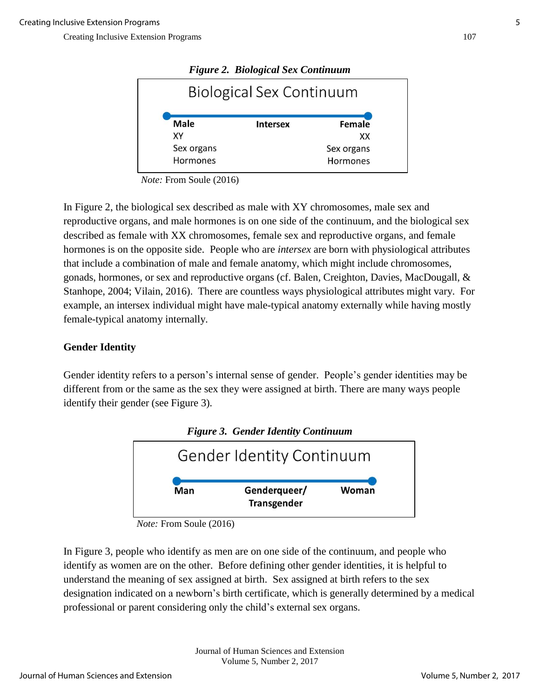| <b>Figure 2. Biological Sex Continuum</b> |                                 |          |  |  |
|-------------------------------------------|---------------------------------|----------|--|--|
|                                           | <b>Biological Sex Continuum</b> |          |  |  |
| Male                                      | <b>Intersex</b>                 | Female   |  |  |
| XΥ                                        |                                 | XX       |  |  |
| Sex organs                                | Sex organs                      |          |  |  |
| Hormones                                  |                                 | Hormones |  |  |

*Note:* From Soule (2016)

In Figure 2, the biological sex described as male with XY chromosomes, male sex and reproductive organs, and male hormones is on one side of the continuum, and the biological sex described as female with XX chromosomes, female sex and reproductive organs, and female hormones is on the opposite side. People who are *intersex* are born with physiological attributes that include a combination of male and female anatomy, which might include chromosomes, gonads, hormones, or sex and reproductive organs (cf. Balen, Creighton, Davies, MacDougall, & Stanhope, 2004; Vilain, 2016). There are countless ways physiological attributes might vary. For example, an intersex individual might have male-typical anatomy externally while having mostly female-typical anatomy internally.

#### **Gender Identity**

Gender identity refers to a person's internal sense of gender. People's gender identities may be different from or the same as the sex they were assigned at birth. There are many ways people identify their gender (see Figure 3).



*Figure 3. Gender Identity Continuum* 

In Figure 3, people who identify as men are on one side of the continuum, and people who identify as women are on the other. Before defining other gender identities, it is helpful to understand the meaning of sex assigned at birth. Sex assigned at birth refers to the sex designation indicated on a newborn's birth certificate, which is generally determined by a medical professional or parent considering only the child's external sex organs.

*Note:* From Soule (2016)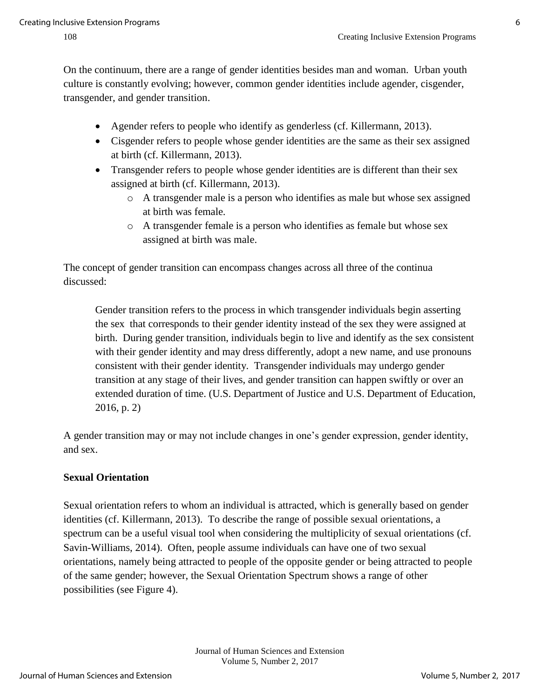On the continuum, there are a range of gender identities besides man and woman. Urban youth culture is constantly evolving; however, common gender identities include agender, cisgender, transgender, and gender transition.

- Agender refers to people who identify as genderless (cf. Killermann, 2013).
- Cisgender refers to people whose gender identities are the same as their sex assigned at birth (cf. Killermann, 2013).
- Transgender refers to people whose gender identities are is different than their sex assigned at birth (cf. Killermann, 2013).
	- o A transgender male is a person who identifies as male but whose sex assigned at birth was female.
	- o A transgender female is a person who identifies as female but whose sex assigned at birth was male.

The concept of gender transition can encompass changes across all three of the continua discussed:

Gender transition refers to the process in which transgender individuals begin asserting the sex that corresponds to their gender identity instead of the sex they were assigned at birth. During gender transition, individuals begin to live and identify as the sex consistent with their gender identity and may dress differently, adopt a new name, and use pronouns consistent with their gender identity. Transgender individuals may undergo gender transition at any stage of their lives, and gender transition can happen swiftly or over an extended duration of time. (U.S. Department of Justice and U.S. Department of Education, 2016, p. 2)

A gender transition may or may not include changes in one's gender expression, gender identity, and sex.

## **Sexual Orientation**

Sexual orientation refers to whom an individual is attracted, which is generally based on gender identities (cf. Killermann, 2013). To describe the range of possible sexual orientations, a spectrum can be a useful visual tool when considering the multiplicity of sexual orientations (cf. Savin-Williams, 2014). Often, people assume individuals can have one of two sexual orientations, namely being attracted to people of the opposite gender or being attracted to people of the same gender; however, the Sexual Orientation Spectrum shows a range of other possibilities (see Figure 4).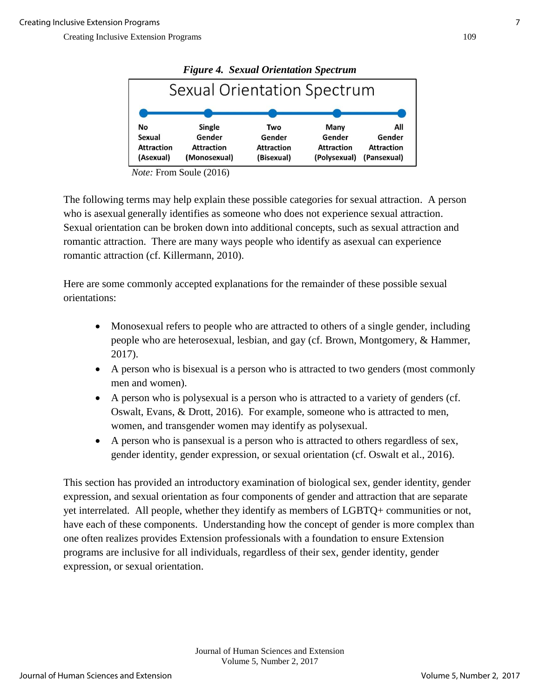| <b>Figure 4. Sexual Orientation Spectrum</b> |                   |                   |                   |                   |  |
|----------------------------------------------|-------------------|-------------------|-------------------|-------------------|--|
| <b>Sexual Orientation Spectrum</b>           |                   |                   |                   |                   |  |
|                                              |                   |                   |                   |                   |  |
| No                                           | Single            | Two               | Many              | All               |  |
| Sexual                                       | Gender            | Gender            | Gender            | Gender            |  |
| <b>Attraction</b>                            | <b>Attraction</b> | <b>Attraction</b> | <b>Attraction</b> | <b>Attraction</b> |  |
| (Asexual)                                    | (Monosexual)      | (Bisexual)        | (Polysexual)      | (Pansexual)       |  |

*Note:* From Soule (2016)

The following terms may help explain these possible categories for sexual attraction. A person who is asexual generally identifies as someone who does not experience sexual attraction. Sexual orientation can be broken down into additional concepts, such as sexual attraction and romantic attraction. There are many ways people who identify as asexual can experience romantic attraction (cf. Killermann, 2010).

Here are some commonly accepted explanations for the remainder of these possible sexual orientations:

- Monosexual refers to people who are attracted to others of a single gender, including people who are heterosexual, lesbian, and gay (cf. Brown, Montgomery, & Hammer, 2017).
- A person who is bisexual is a person who is attracted to two genders (most commonly men and women).
- A person who is polysexual is a person who is attracted to a variety of genders (cf. Oswalt, Evans, & Drott, 2016). For example, someone who is attracted to men, women, and transgender women may identify as polysexual.
- A person who is pansexual is a person who is attracted to others regardless of sex, gender identity, gender expression, or sexual orientation (cf. Oswalt et al., 2016).

This section has provided an introductory examination of biological sex, gender identity, gender expression, and sexual orientation as four components of gender and attraction that are separate yet interrelated. All people, whether they identify as members of LGBTQ+ communities or not, have each of these components. Understanding how the concept of gender is more complex than one often realizes provides Extension professionals with a foundation to ensure Extension programs are inclusive for all individuals, regardless of their sex, gender identity, gender expression, or sexual orientation.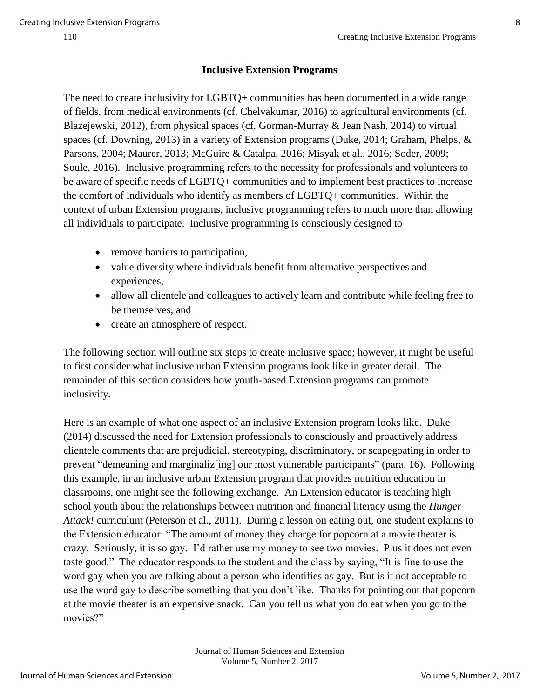#### **Inclusive Extension Programs**

The need to create inclusivity for LGBTQ+ communities has been documented in a wide range of fields, from medical environments (cf. Chelvakumar, 2016) to agricultural environments (cf. [Blazejewski,](http://digitalcommons.uri.edu/do/search/?q=author_lname%3A%22Blazejewski%22%20author_fname%3A%22Gary%22&start=0&context=138937) 2012), from physical spaces (cf. Gorman-Murray & Jean Nash, 2014) to virtual spaces (cf. Downing, 2013) in a variety of Extension programs (Duke, 2014; Graham, Phelps, & Parsons, 2004; Maurer, 2013; McGuire & Catalpa, 2016; Misyak et al., 2016; Soder, 2009; Soule, 2016). Inclusive programming refers to the necessity for professionals and volunteers to be aware of specific needs of LGBTQ+ communities and to implement best practices to increase the comfort of individuals who identify as members of LGBTQ+ communities. Within the context of urban Extension programs, inclusive programming refers to much more than allowing all individuals to participate. Inclusive programming is consciously designed to

- remove barriers to participation,
- value diversity where individuals benefit from alternative perspectives and experiences,
- allow all clientele and colleagues to actively learn and contribute while feeling free to be themselves, and
- create an atmosphere of respect.

The following section will outline six steps to create inclusive space; however, it might be useful to first consider what inclusive urban Extension programs look like in greater detail. The remainder of this section considers how youth-based Extension programs can promote inclusivity.

Here is an example of what one aspect of an inclusive Extension program looks like. Duke (2014) discussed the need for Extension professionals to consciously and proactively address clientele comments that are prejudicial, stereotyping, discriminatory, or scapegoating in order to prevent "demeaning and marginaliz[ing] our most vulnerable participants" (para. 16). Following this example, in an inclusive urban Extension program that provides nutrition education in classrooms, one might see the following exchange. An Extension educator is teaching high school youth about the relationships between nutrition and financial literacy using the *Hunger Attack!* curriculum (Peterson et al., 2011). During a lesson on eating out, one student explains to the Extension educator: "The amount of money they charge for popcorn at a movie theater is crazy. Seriously, it is so gay. I'd rather use my money to see two movies. Plus it does not even taste good." The educator responds to the student and the class by saying, "It is fine to use the word gay when you are talking about a person who identifies as gay. But is it not acceptable to use the word gay to describe something that you don't like. Thanks for pointing out that popcorn at the movie theater is an expensive snack. Can you tell us what you do eat when you go to the movies?"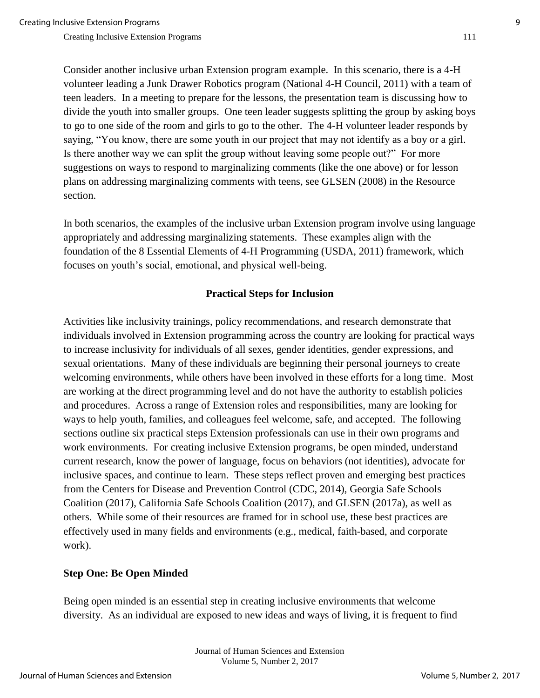Consider another inclusive urban Extension program example. In this scenario, there is a 4-H volunteer leading a Junk Drawer Robotics program (National 4-H Council, 2011) with a team of teen leaders. In a meeting to prepare for the lessons, the presentation team is discussing how to divide the youth into smaller groups. One teen leader suggests splitting the group by asking boys to go to one side of the room and girls to go to the other. The 4-H volunteer leader responds by saying, "You know, there are some youth in our project that may not identify as a boy or a girl. Is there another way we can split the group without leaving some people out?" For more suggestions on ways to respond to marginalizing comments (like the one above) or for lesson plans on addressing marginalizing comments with teens, see GLSEN (2008) in the Resource section.

In both scenarios, the examples of the inclusive urban Extension program involve using language appropriately and addressing marginalizing statements. These examples align with the foundation of the 8 Essential Elements of 4-H Programming (USDA, 2011) framework, which focuses on youth's social, emotional, and physical well-being.

#### **Practical Steps for Inclusion**

Activities like inclusivity trainings, policy recommendations, and research demonstrate that individuals involved in Extension programming across the country are looking for practical ways to increase inclusivity for individuals of all sexes, gender identities, gender expressions, and sexual orientations. Many of these individuals are beginning their personal journeys to create welcoming environments, while others have been involved in these efforts for a long time. Most are working at the direct programming level and do not have the authority to establish policies and procedures. Across a range of Extension roles and responsibilities, many are looking for ways to help youth, families, and colleagues feel welcome, safe, and accepted. The following sections outline six practical steps Extension professionals can use in their own programs and work environments. For creating inclusive Extension programs, be open minded, understand current research, know the power of language, focus on behaviors (not identities), advocate for inclusive spaces, and continue to learn. These steps reflect proven and emerging best practices from the Centers for Disease and Prevention Control (CDC, 2014), Georgia Safe Schools Coalition (2017), California Safe Schools Coalition (2017), and GLSEN (2017a), as well as others. While some of their resources are framed for in school use, these best practices are effectively used in many fields and environments (e.g., medical, faith-based, and corporate work).

#### **Step One: Be Open Minded**

Being open minded is an essential step in creating inclusive environments that welcome diversity. As an individual are exposed to new ideas and ways of living, it is frequent to find

> Journal of Human Sciences and Extension Volume 5, Number 2, 2017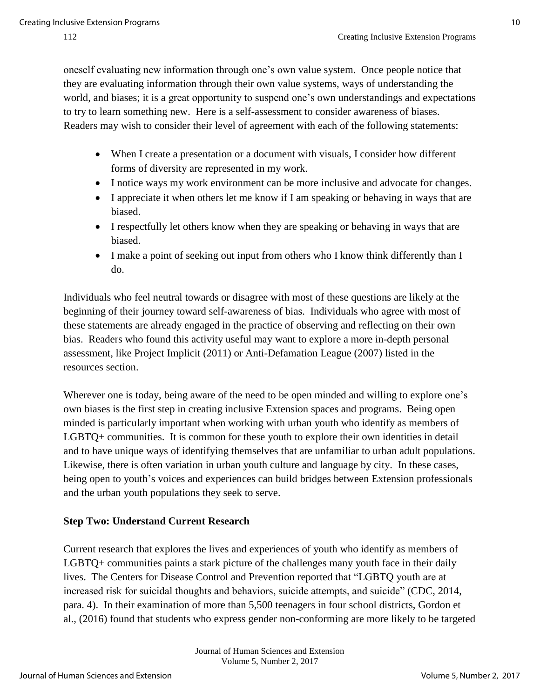oneself evaluating new information through one's own value system. Once people notice that they are evaluating information through their own value systems, ways of understanding the world, and biases; it is a great opportunity to suspend one's own understandings and expectations to try to learn something new. Here is a self-assessment to consider awareness of biases. Readers may wish to consider their level of agreement with each of the following statements:

- When I create a presentation or a document with visuals, I consider how different forms of diversity are represented in my work.
- I notice ways my work environment can be more inclusive and advocate for changes.
- I appreciate it when others let me know if I am speaking or behaving in ways that are biased.
- I respectfully let others know when they are speaking or behaving in ways that are biased.
- I make a point of seeking out input from others who I know think differently than I do.

Individuals who feel neutral towards or disagree with most of these questions are likely at the beginning of their journey toward self-awareness of bias. Individuals who agree with most of these statements are already engaged in the practice of observing and reflecting on their own bias. Readers who found this activity useful may want to explore a more in-depth personal assessment, like Project Implicit (2011) or Anti-Defamation League (2007) listed in the resources section.

Wherever one is today, being aware of the need to be open minded and willing to explore one's own biases is the first step in creating inclusive Extension spaces and programs. Being open minded is particularly important when working with urban youth who identify as members of LGBTQ+ communities. It is common for these youth to explore their own identities in detail and to have unique ways of identifying themselves that are unfamiliar to urban adult populations. Likewise, there is often variation in urban youth culture and language by city. In these cases, being open to youth's voices and experiences can build bridges between Extension professionals and the urban youth populations they seek to serve.

## **Step Two: Understand Current Research**

Current research that explores the lives and experiences of youth who identify as members of LGBTQ+ communities paints a stark picture of the challenges many youth face in their daily lives. The Centers for Disease Control and Prevention reported that "LGBTQ youth are at increased risk for suicidal thoughts and behaviors, suicide attempts, and suicide" (CDC, 2014, para. 4). In their examination of more than 5,500 teenagers in four school districts, Gordon et al., (2016) found that students who express gender non-conforming are more likely to be targeted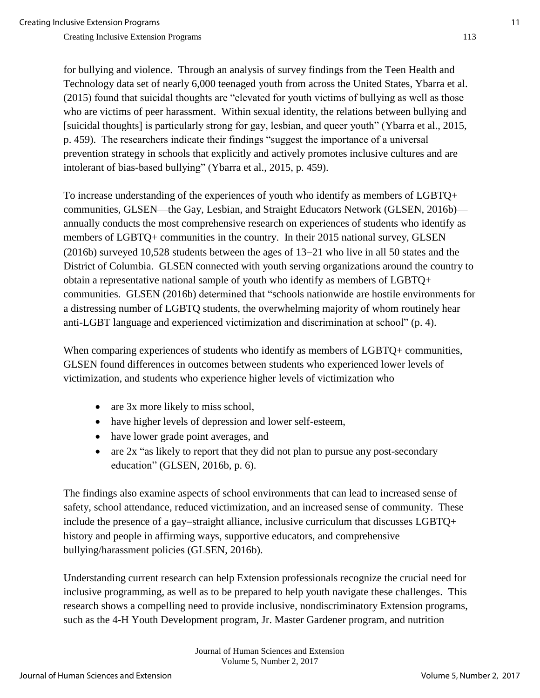for bullying and violence. Through an analysis of survey findings from the Teen Health and Technology data set of nearly 6,000 teenaged youth from across the United States, Ybarra et al. (2015) found that suicidal thoughts are "elevated for youth victims of bullying as well as those who are victims of peer harassment. Within sexual identity, the relations between bullying and [suicidal thoughts] is particularly strong for gay, lesbian, and queer youth" (Ybarra et al., 2015, p. 459). The researchers indicate their findings "suggest the importance of a universal prevention strategy in schools that explicitly and actively promotes inclusive cultures and are intolerant of bias-based bullying" (Ybarra et al., 2015, p. 459).

To increase understanding of the experiences of youth who identify as members of LGBTQ+ communities, GLSEN—the Gay, Lesbian, and Straight Educators Network (GLSEN, 2016b) annually conducts the most comprehensive research on experiences of students who identify as members of LGBTQ+ communities in the country. In their 2015 national survey, GLSEN  $(2016b)$  surveyed 10,528 students between the ages of 13–21 who live in all 50 states and the District of Columbia. GLSEN connected with youth serving organizations around the country to obtain a representative national sample of youth who identify as members of LGBTQ+ communities. GLSEN (2016b) determined that "schools nationwide are hostile environments for a distressing number of LGBTQ students, the overwhelming majority of whom routinely hear anti-LGBT language and experienced victimization and discrimination at school" (p. 4).

When comparing experiences of students who identify as members of LGBTQ+ communities, GLSEN found differences in outcomes between students who experienced lower levels of victimization, and students who experience higher levels of victimization who

- are 3x more likely to miss school,
- have higher levels of depression and lower self-esteem,
- have lower grade point averages, and
- $\bullet$  are 2x "as likely to report that they did not plan to pursue any post-secondary education" (GLSEN, 2016b, p. 6).

The findings also examine aspects of school environments that can lead to increased sense of safety, school attendance, reduced victimization, and an increased sense of community. These include the presence of a gay-straight alliance, inclusive curriculum that discusses  $LGBTO+$ history and people in affirming ways, supportive educators, and comprehensive bullying/harassment policies (GLSEN, 2016b).

Understanding current research can help Extension professionals recognize the crucial need for inclusive programming, as well as to be prepared to help youth navigate these challenges. This research shows a compelling need to provide inclusive, nondiscriminatory Extension programs, such as the 4-H Youth Development program, Jr. Master Gardener program, and nutrition

> Journal of Human Sciences and Extension Volume 5, Number 2, 2017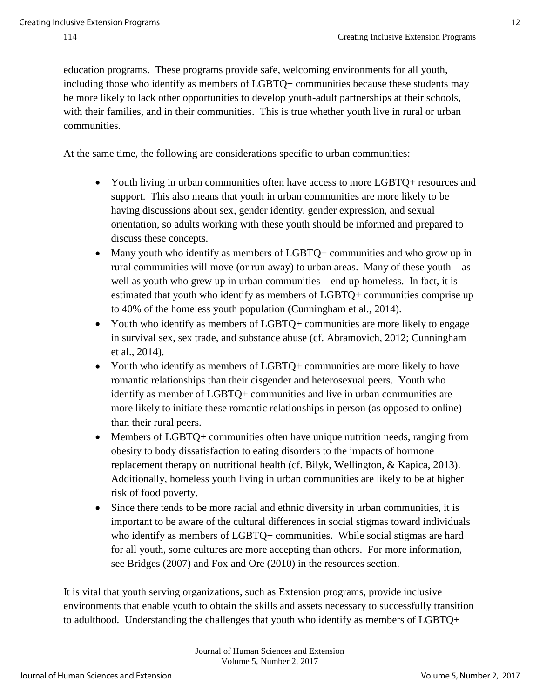education programs. These programs provide safe, welcoming environments for all youth, including those who identify as members of LGBTQ+ communities because these students may be more likely to lack other opportunities to develop youth-adult partnerships at their schools, with their families, and in their communities. This is true whether youth live in rural or urban communities.

At the same time, the following are considerations specific to urban communities:

- Youth living in urban communities often have access to more LGBTQ+ resources and support. This also means that youth in urban communities are more likely to be having discussions about sex, gender identity, gender expression, and sexual orientation, so adults working with these youth should be informed and prepared to discuss these concepts.
- Many youth who identify as members of LGBTQ+ communities and who grow up in rural communities will move (or run away) to urban areas. Many of these youth—as well as youth who grew up in urban communities—end up homeless. In fact, it is estimated that youth who identify as members of LGBTQ+ communities comprise up to 40% of the homeless youth population (Cunningham et al., 2014).
- Youth who identify as members of LGBTQ+ communities are more likely to engage in survival sex, sex trade, and substance abuse (cf. Abramovich, 2012; Cunningham et al., 2014).
- Youth who identify as members of LGBTQ+ communities are more likely to have romantic relationships than their cisgender and heterosexual peers. Youth who identify as member of LGBTQ+ communities and live in urban communities are more likely to initiate these romantic relationships in person (as opposed to online) than their rural peers.
- Members of LGBTQ+ communities often have unique nutrition needs, ranging from obesity to body dissatisfaction to eating disorders to the impacts of hormone replacement therapy on nutritional health (cf. Bilyk, Wellington, & Kapica, 2013). Additionally, homeless youth living in urban communities are likely to be at higher risk of food poverty.
- Since there tends to be more racial and ethnic diversity in urban communities, it is important to be aware of the cultural differences in social stigmas toward individuals who identify as members of LGBTQ+ communities. While social stigmas are hard for all youth, some cultures are more accepting than others. For more information, see Bridges (2007) and Fox and Ore (2010) in the resources section.

It is vital that youth serving organizations, such as Extension programs, provide inclusive environments that enable youth to obtain the skills and assets necessary to successfully transition to adulthood. Understanding the challenges that youth who identify as members of LGBTQ+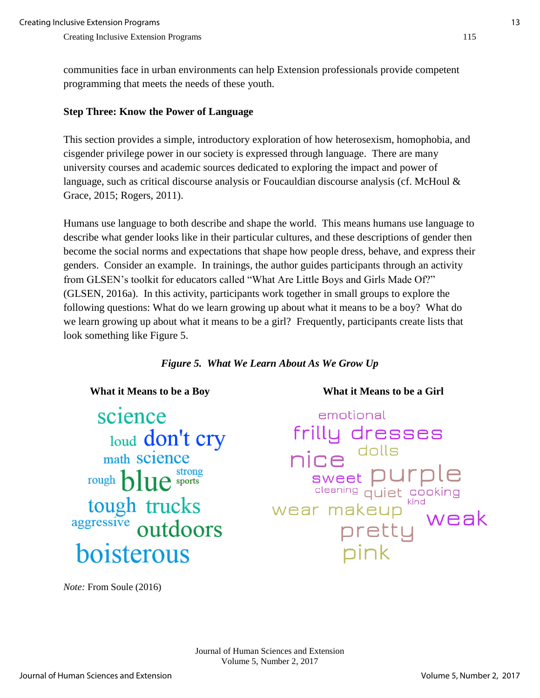communities face in urban environments can help Extension professionals provide competent programming that meets the needs of these youth.

#### **Step Three: Know the Power of Language**

This section provides a simple, introductory exploration of how heterosexism, homophobia, and cisgender privilege power in our society is expressed through language. There are many university courses and academic sources dedicated to exploring the impact and power of language, such as critical discourse analysis or Foucauldian discourse analysis (cf. McHoul & Grace, 2015; Rogers, 2011).

Humans use language to both describe and shape the world. This means humans use language to describe what gender looks like in their particular cultures, and these descriptions of gender then become the social norms and expectations that shape how people dress, behave, and express their genders. Consider an example. In trainings, the author guides participants through an activity from GLSEN's toolkit for educators called "What Are Little Boys and Girls Made Of?" (GLSEN, 2016a). In this activity, participants work together in small groups to explore the following questions: What do we learn growing up about what it means to be a boy? What do we learn growing up about what it means to be a girl? Frequently, participants create lists that look something like Figure 5.

*Figure 5. What We Learn About As We Grow Up*

science loud don't cry math science rough blue sports tough trucks outdoors boisterous

 **What it Means to be a Boy What it Means to be a Girl** 

emotional frilly dresses dolls nice purple sweet [ cleaning quiet cooking <sup>akeup """<br>pretty weak<br>ainh</sup> wear makeup nink

*Note:* From Soule (2016)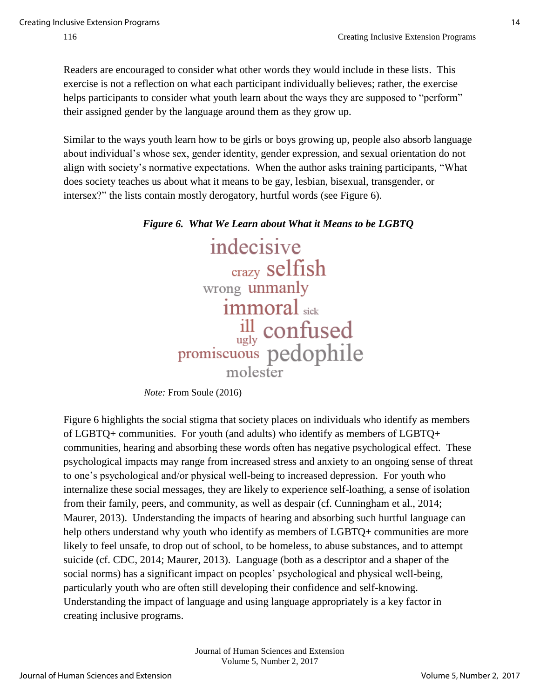Readers are encouraged to consider what other words they would include in these lists. This exercise is not a reflection on what each participant individually believes; rather, the exercise helps participants to consider what youth learn about the ways they are supposed to "perform" their assigned gender by the language around them as they grow up.

Similar to the ways youth learn how to be girls or boys growing up, people also absorb language about individual's whose sex, gender identity, gender expression, and sexual orientation do not align with society's normative expectations. When the author asks training participants, "What does society teaches us about what it means to be gay, lesbian, bisexual, transgender, or intersex?" the lists contain mostly derogatory, hurtful words (see Figure 6).

indecisive crazy selfish wrong unmanly immoral sick <sup>ill</sup> confused<br>promiscuous pedophile molester

 *Note:* From Soule (2016)

Figure 6 highlights the social stigma that society places on individuals who identify as members of LGBTQ+ communities. For youth (and adults) who identify as members of LGBTQ+ communities, hearing and absorbing these words often has negative psychological effect. These psychological impacts may range from increased stress and anxiety to an ongoing sense of threat to one's psychological and/or physical well-being to increased depression. For youth who internalize these social messages, they are likely to experience self-loathing, a sense of isolation from their family, peers, and community, as well as despair (cf. Cunningham et al., 2014; Maurer, 2013). Understanding the impacts of hearing and absorbing such hurtful language can help others understand why youth who identify as members of LGBTQ+ communities are more likely to feel unsafe, to drop out of school, to be homeless, to abuse substances, and to attempt suicide (cf. CDC, 2014; Maurer, 2013). Language (both as a descriptor and a shaper of the social norms) has a significant impact on peoples' psychological and physical well-being, particularly youth who are often still developing their confidence and self-knowing. Understanding the impact of language and using language appropriately is a key factor in creating inclusive programs.

*Figure 6. What We Learn about What it Means to be LGBTQ*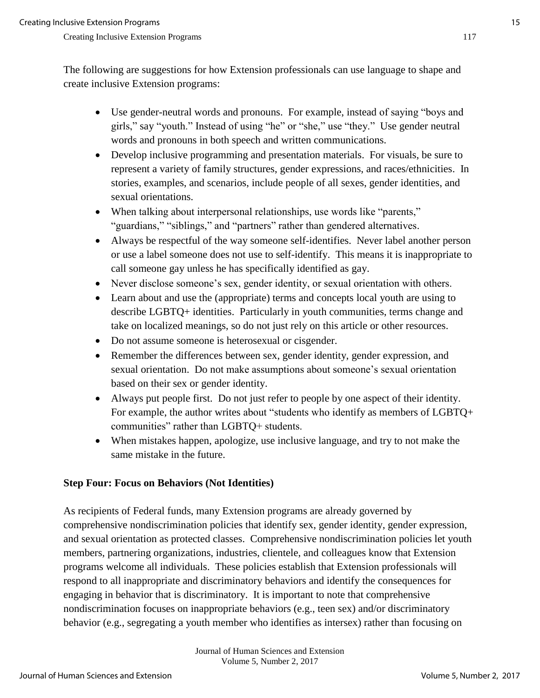The following are suggestions for how Extension professionals can use language to shape and create inclusive Extension programs:

- Use gender-neutral words and pronouns. For example, instead of saying "boys and girls," say "youth." Instead of using "he" or "she," use "they." Use gender neutral words and pronouns in both speech and written communications.
- Develop inclusive programming and presentation materials. For visuals, be sure to represent a variety of family structures, gender expressions, and races/ethnicities. In stories, examples, and scenarios, include people of all sexes, gender identities, and sexual orientations.
- When talking about interpersonal relationships, use words like "parents," "guardians," "siblings," and "partners" rather than gendered alternatives.
- Always be respectful of the way someone self-identifies. Never label another person or use a label someone does not use to self-identify. This means it is inappropriate to call someone gay unless he has specifically identified as gay.
- Never disclose someone's sex, gender identity, or sexual orientation with others.
- Learn about and use the (appropriate) terms and concepts local youth are using to describe LGBTQ+ identities. Particularly in youth communities, terms change and take on localized meanings, so do not just rely on this article or other resources.
- Do not assume someone is heterosexual or cisgender.
- Remember the differences between sex, gender identity, gender expression, and sexual orientation. Do not make assumptions about someone's sexual orientation based on their sex or gender identity.
- Always put people first. Do not just refer to people by one aspect of their identity. For example, the author writes about "students who identify as members of LGBTQ+ communities" rather than LGBTQ+ students.
- When mistakes happen, apologize, use inclusive language, and try to not make the same mistake in the future.

## **Step Four: Focus on Behaviors (Not Identities)**

As recipients of Federal funds, many Extension programs are already governed by comprehensive nondiscrimination policies that identify sex, gender identity, gender expression, and sexual orientation as protected classes. Comprehensive nondiscrimination policies let youth members, partnering organizations, industries, clientele, and colleagues know that Extension programs welcome all individuals. These policies establish that Extension professionals will respond to all inappropriate and discriminatory behaviors and identify the consequences for engaging in behavior that is discriminatory. It is important to note that comprehensive nondiscrimination focuses on inappropriate behaviors (e.g., teen sex) and/or discriminatory behavior (e.g., segregating a youth member who identifies as intersex) rather than focusing on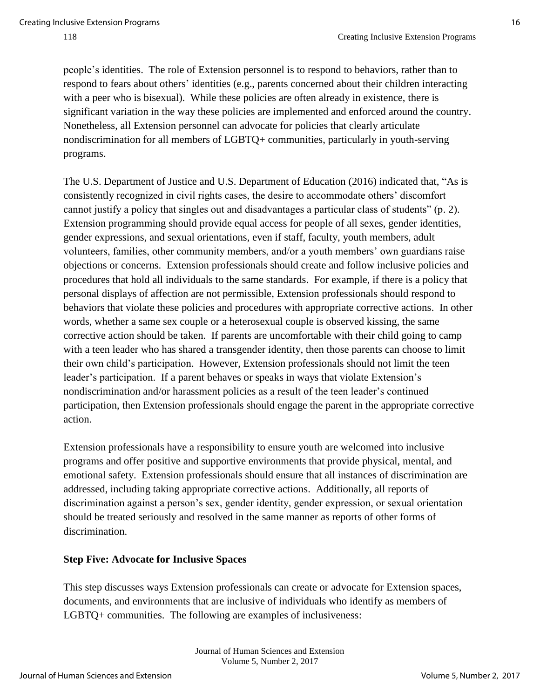people's identities. The role of Extension personnel is to respond to behaviors, rather than to respond to fears about others' identities (e.g., parents concerned about their children interacting with a peer who is bisexual). While these policies are often already in existence, there is significant variation in the way these policies are implemented and enforced around the country. Nonetheless, all Extension personnel can advocate for policies that clearly articulate nondiscrimination for all members of LGBTQ+ communities, particularly in youth-serving programs.

The U.S. Department of Justice and U.S. Department of Education (2016) indicated that, "As is consistently recognized in civil rights cases, the desire to accommodate others' discomfort cannot justify a policy that singles out and disadvantages a particular class of students" (p. 2). Extension programming should provide equal access for people of all sexes, gender identities, gender expressions, and sexual orientations, even if staff, faculty, youth members, adult volunteers, families, other community members, and/or a youth members' own guardians raise objections or concerns. Extension professionals should create and follow inclusive policies and procedures that hold all individuals to the same standards. For example, if there is a policy that personal displays of affection are not permissible, Extension professionals should respond to behaviors that violate these policies and procedures with appropriate corrective actions. In other words, whether a same sex couple or a heterosexual couple is observed kissing, the same corrective action should be taken. If parents are uncomfortable with their child going to camp with a teen leader who has shared a transgender identity, then those parents can choose to limit their own child's participation. However, Extension professionals should not limit the teen leader's participation. If a parent behaves or speaks in ways that violate Extension's nondiscrimination and/or harassment policies as a result of the teen leader's continued participation, then Extension professionals should engage the parent in the appropriate corrective action.

Extension professionals have a responsibility to ensure youth are welcomed into inclusive programs and offer positive and supportive environments that provide physical, mental, and emotional safety. Extension professionals should ensure that all instances of discrimination are addressed, including taking appropriate corrective actions. Additionally, all reports of discrimination against a person's sex, gender identity, gender expression, or sexual orientation should be treated seriously and resolved in the same manner as reports of other forms of discrimination.

#### **Step Five: Advocate for Inclusive Spaces**

This step discusses ways Extension professionals can create or advocate for Extension spaces, documents, and environments that are inclusive of individuals who identify as members of LGBTQ+ communities. The following are examples of inclusiveness:

> Journal of Human Sciences and Extension Volume 5, Number 2, 2017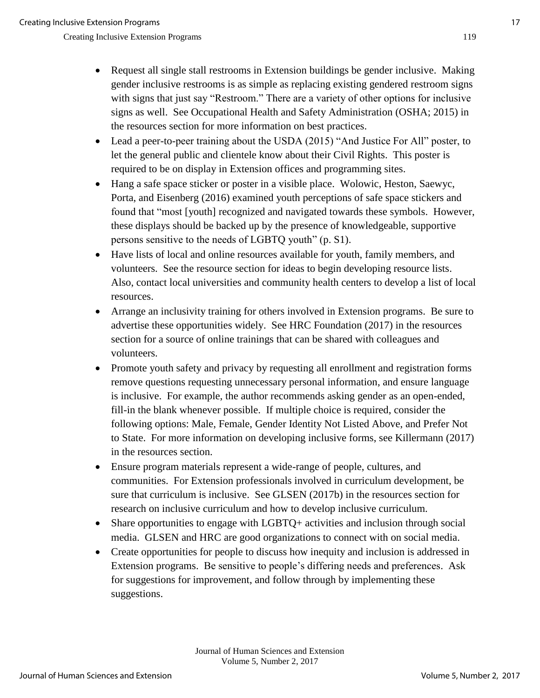- Request all single stall restrooms in Extension buildings be gender inclusive. Making gender inclusive restrooms is as simple as replacing existing gendered restroom signs with signs that just say "Restroom." There are a variety of other options for inclusive signs as well. See Occupational Health and Safety Administration (OSHA; 2015) in the resources section for more information on best practices.
- Lead a peer-to-peer training about the USDA (2015) "And Justice For All" poster, to let the general public and clientele know about their Civil Rights. This poster is required to be on display in Extension offices and programming sites.
- Hang a safe space sticker or poster in a visible place. Wolowic, Heston, Saewyc, Porta, and Eisenberg (2016) examined youth perceptions of safe space stickers and found that "most [youth] recognized and navigated towards these symbols. However, these displays should be backed up by the presence of knowledgeable, supportive persons sensitive to the needs of LGBTQ youth" (p. S1).
- Have lists of local and online resources available for youth, family members, and volunteers. See the resource section for ideas to begin developing resource lists. Also, contact local universities and community health centers to develop a list of local resources.
- Arrange an inclusivity training for others involved in Extension programs. Be sure to advertise these opportunities widely. See HRC Foundation (2017) in the resources section for a source of online trainings that can be shared with colleagues and volunteers.
- Promote youth safety and privacy by requesting all enrollment and registration forms remove questions requesting unnecessary personal information, and ensure language is inclusive. For example, the author recommends asking gender as an open-ended, fill-in the blank whenever possible. If multiple choice is required, consider the following options: Male, Female, Gender Identity Not Listed Above, and Prefer Not to State. For more information on developing inclusive forms, see Killermann (2017) in the resources section.
- Ensure program materials represent a wide-range of people, cultures, and communities. For Extension professionals involved in curriculum development, be sure that curriculum is inclusive. See GLSEN (2017b) in the resources section for research on inclusive curriculum and how to develop inclusive curriculum.
- Share opportunities to engage with LGBTQ+ activities and inclusion through social media. GLSEN and HRC are good organizations to connect with on social media.
- Create opportunities for people to discuss how inequity and inclusion is addressed in Extension programs. Be sensitive to people's differing needs and preferences. Ask for suggestions for improvement, and follow through by implementing these suggestions.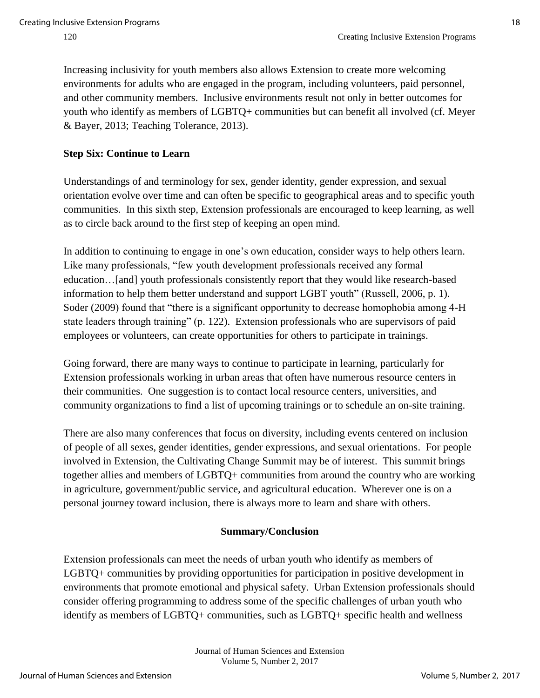Increasing inclusivity for youth members also allows Extension to create more welcoming environments for adults who are engaged in the program, including volunteers, paid personnel, and other community members. Inclusive environments result not only in better outcomes for youth who identify as members of LGBTQ+ communities but can benefit all involved (cf. Meyer & Bayer, 2013; Teaching Tolerance, 2013).

#### **Step Six: Continue to Learn**

Understandings of and terminology for sex, gender identity, gender expression, and sexual orientation evolve over time and can often be specific to geographical areas and to specific youth communities. In this sixth step, Extension professionals are encouraged to keep learning, as well as to circle back around to the first step of keeping an open mind.

In addition to continuing to engage in one's own education, consider ways to help others learn. Like many professionals, "few youth development professionals received any formal education…[and] youth professionals consistently report that they would like research-based information to help them better understand and support LGBT youth" (Russell, 2006, p. 1). Soder (2009) found that "there is a significant opportunity to decrease homophobia among 4-H state leaders through training" (p. 122). Extension professionals who are supervisors of paid employees or volunteers, can create opportunities for others to participate in trainings.

Going forward, there are many ways to continue to participate in learning, particularly for Extension professionals working in urban areas that often have numerous resource centers in their communities. One suggestion is to contact local resource centers, universities, and community organizations to find a list of upcoming trainings or to schedule an on-site training.

There are also many conferences that focus on diversity, including events centered on inclusion of people of all sexes, gender identities, gender expressions, and sexual orientations. For people involved in Extension, the Cultivating Change Summit may be of interest. This summit brings together allies and members of LGBTQ+ communities from around the country who are working in agriculture, government/public service, and agricultural education. Wherever one is on a personal journey toward inclusion, there is always more to learn and share with others.

#### **Summary/Conclusion**

Extension professionals can meet the needs of urban youth who identify as members of LGBTQ+ communities by providing opportunities for participation in positive development in environments that promote emotional and physical safety. Urban Extension professionals should consider offering programming to address some of the specific challenges of urban youth who identify as members of LGBTQ+ communities, such as LGBTQ+ specific health and wellness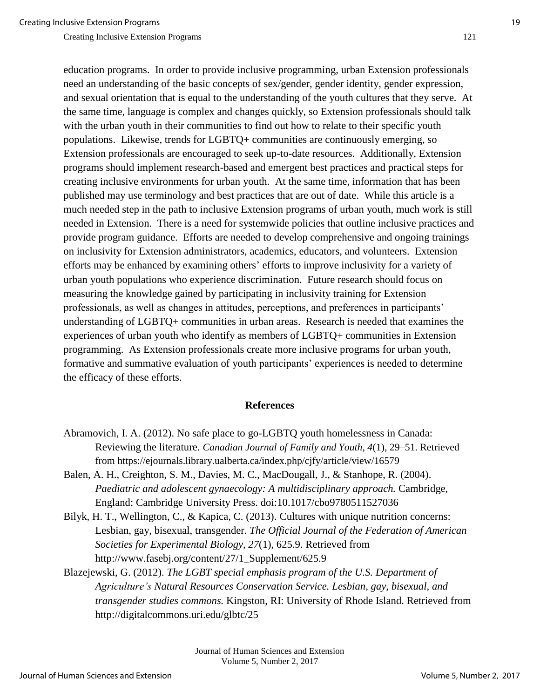education programs. In order to provide inclusive programming, urban Extension professionals need an understanding of the basic concepts of sex/gender, gender identity, gender expression, and sexual orientation that is equal to the understanding of the youth cultures that they serve. At the same time, language is complex and changes quickly, so Extension professionals should talk with the urban youth in their communities to find out how to relate to their specific youth populations. Likewise, trends for LGBTQ+ communities are continuously emerging, so Extension professionals are encouraged to seek up-to-date resources. Additionally, Extension programs should implement research-based and emergent best practices and practical steps for creating inclusive environments for urban youth. At the same time, information that has been published may use terminology and best practices that are out of date. While this article is a much needed step in the path to inclusive Extension programs of urban youth, much work is still needed in Extension. There is a need for systemwide policies that outline inclusive practices and provide program guidance. Efforts are needed to develop comprehensive and ongoing trainings on inclusivity for Extension administrators, academics, educators, and volunteers. Extension efforts may be enhanced by examining others' efforts to improve inclusivity for a variety of urban youth populations who experience discrimination. Future research should focus on measuring the knowledge gained by participating in inclusivity training for Extension professionals, as well as changes in attitudes, perceptions, and preferences in participants' understanding of LGBTQ+ communities in urban areas. Research is needed that examines the experiences of urban youth who identify as members of LGBTQ+ communities in Extension programming. As Extension professionals create more inclusive programs for urban youth, formative and summative evaluation of youth participants' experiences is needed to determine the efficacy of these efforts.

#### **References**

- Abramovich, I. A. (2012). No safe place to go-LGBTQ youth homelessness in Canada: Reviewing the literature. *Canadian Journal of Family and Youth, 4*(1), 29–51. Retrieved from https://ejournals.library.ualberta.ca/index.php/cjfy/article/view/16579
- Balen, A. H., Creighton, S. M., Davies, M. C., MacDougall, J., & Stanhope, R. (2004). *Paediatric and adolescent gynaecology: A multidisciplinary approach.* Cambridge, England: Cambridge University Press. doi:10.1017/cbo9780511527036
- Bilyk, H. T., Wellington, C., & Kapica, C. (2013). Cultures with unique nutrition concerns: Lesbian, gay, bisexual, transgender. *The Official Journal of the Federation of American Societies for Experimental Biology, 27*(1), 625.9. Retrieved from http://www.fasebj.org/content/27/1\_Supplement/625.9
- Blazejewski, G. (2012). *The LGBT special emphasis program of the U.S. Department of Agriculture's Natural Resources Conservation Service. Lesbian, gay, bisexual, and transgender studies commons.* Kingston, RI: University of Rhode Island. Retrieved from http://digitalcommons.uri.edu/glbtc/25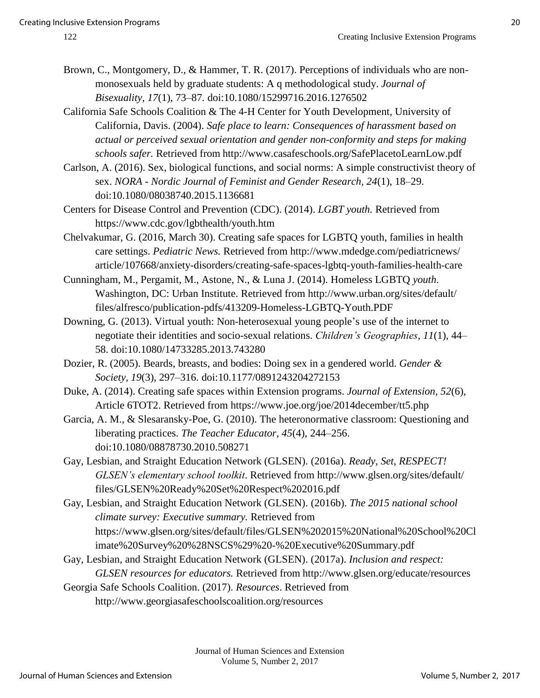- 
- Brown, C., Montgomery, D., & Hammer, T. R. (2017). Perceptions of individuals who are nonmonosexuals held by graduate students: A q methodological study. *Journal of Bisexuality, 17*(1), 73–87*.* doi:10.1080/15299716.2016.1276502
- California Safe Schools Coalition & The 4-H Center for Youth Development, University of California, Davis. (2004). *Safe place to learn: Consequences of harassment based on actual or perceived sexual orientation and gender non-conformity and steps for making schools safer.* Retrieved from http://www.casafeschools.org/SafePlacetoLearnLow.pdf
- Carlson, A. (2016). Sex, biological functions, and social norms: A simple constructivist theory of sex. *NORA - Nordic Journal of Feminist and Gender Research, 24*(1), 18–29. doi:10.1080/08038740.2015.1136681
- Centers for Disease Control and Prevention (CDC). (2014). *LGBT youth.* Retrieved from https://www.cdc.gov/lgbthealth/youth.htm
- Chelvakumar, G. (2016, March 30). Creating safe spaces for LGBTQ youth, families in health care settings. *Pediatric News.* Retrieved from http://www.mdedge.com/pediatricnews/ article/107668/anxiety-disorders/creating-safe-spaces-lgbtq-youth-families-health-care
- Cunningham, M., Pergamit, M., Astone, N., & Luna J. (2014). Homeless LGBTQ *youth*. Washington, DC: Urban Institute. Retrieved from http://www.urban.org/sites/default/ files/alfresco/publication-pdfs/413209-Homeless-LGBTQ-Youth.PDF
- Downing, G. (2013). Virtual youth: Non-heterosexual young people's use of the internet to negotiate their identities and socio-sexual relations. *Children's Geographies, 11*(1), 44– 58. doi[:10.1080/14733285.2013.743280](http://dx.doi.org/10.1080/14733285.2013.743280)
- Dozier, R. (2005). Beards, breasts, and bodies: Doing sex in a gendered world. *Gender & Society, 19*(3), 297–316. doi:10.1177/0891243204272153
- Duke, A. (2014). Creating safe spaces within Extension programs. *Journal of Extension, 52*(6), Article 6TOT2. Retrieved from https://www.joe.org/joe/2014december/tt5.php
- Garcia, A. M., & Slesaransky-Poe, G. (2010). The heteronormative classroom: Questioning and liberating practices. *The Teacher Educator, 45*(4), 244–256. doi:10.1080/08878730.2010.508271
- Gay, Lesbian, and Straight Education Network (GLSEN). (2016a). *Ready, Set, RESPECT! GLSEN's elementary school toolkit*. Retrieved from http://www.glsen.org/sites/default/ files/GLSEN%20Ready%20Set%20Respect%202016.pdf
- Gay, Lesbian, and Straight Education Network (GLSEN). (2016b). *The 2015 national school climate survey: Executive summary.* Retrieved from https://www.glsen.org/sites/default/files/GLSEN%202015%20National%20School%20Cl imate%20Survey%20%28NSCS%29%20-%20Executive%20Summary.pdf
- Gay, Lesbian, and Straight Education Network (GLSEN). (2017a). *Inclusion and respect: GLSEN resources for educators.* Retrieved from http://www.glsen.org/educate/resources
- Georgia Safe Schools Coalition. (2017). *Resources*. Retrieved from http://www.georgiasafeschoolscoalition.org/resources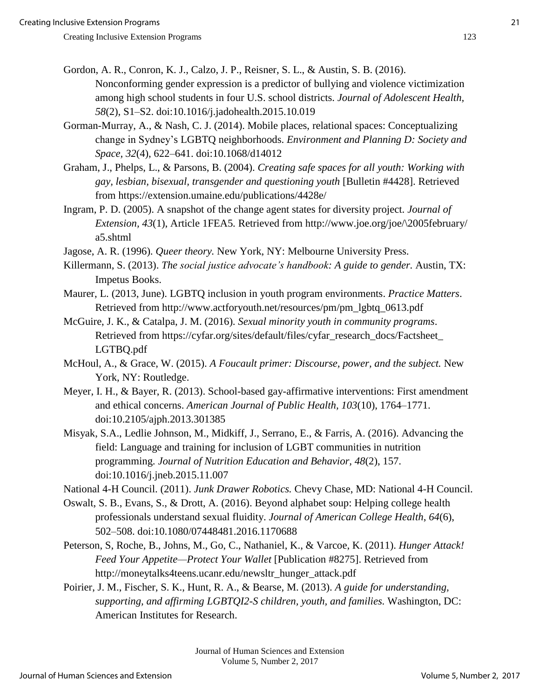- Gordon, A. R., Conron, K. J., Calzo, J. P., Reisner, S. L., & Austin, S. B. (2016). Nonconforming gender expression is a predictor of bullying and violence victimization among high school students in four U.S. school districts. *Journal of Adolescent Health, 58*(2), S1–S2. doi:10.1016/j.jadohealth.2015.10.019
- Gorman-Murray, A., & Nash, C. J. (2014). Mobile places, relational spaces: Conceptualizing change in Sydney's LGBTQ neighborhoods. *Environment and Planning D: Society and Space, 32*(4), 622–641. doi[:10.1068/d14012](https://doi.org/10.1068/d14012)
- Graham, J., Phelps, L., & Parsons, B. (2004). *Creating safe spaces for all youth: Working with gay, lesbian, bisexual, transgender and questioning youth* [Bulletin #4428]. Retrieved from https://extension.umaine.edu/publications/4428e/
- Ingram, P. D. (2005). A snapshot of the change agent states for diversity project. *Journal of Extension, 43*(1), Article 1FEA5*.* Retrieved from http://www.joe.org/joe/\2005february/ a5.shtml
- Jagose, A. R. (1996). *Queer theory.* New York, NY: Melbourne University Press.
- Killermann, S. (2013). *The social justice advocate's handbook: A guide to gender.* Austin, TX: Impetus Books.
- Maurer, L. (2013, June). LGBTQ inclusion in youth program environments. *Practice Matters*. Retrieved from http://www.actforyouth.net/resources/pm/pm\_lgbtq\_0613.pdf
- McGuire, J. K., & Catalpa, J. M. (2016). *Sexual minority youth in community programs*. Retrieved from https://cyfar.org/sites/default/files/cyfar\_research\_docs/Factsheet\_ LGTBQ.pdf
- McHoul, A., & Grace, W. (2015). *A Foucault primer: Discourse, power, and the subject.* New York, NY: Routledge.
- Meyer, I. H., & Bayer, R. (2013). School-based gay-affirmative interventions: First amendment and ethical concerns. *American Journal of Public Health, 103*(10), 1764–1771. doi:10.2105/ajph.2013.301385
- Misyak, S.A., Ledlie Johnson, M., Midkiff, J., Serrano, E., & Farris, A. (2016). Advancing the field: Language and training for inclusion of LGBT communities in nutrition programming. *Journal of Nutrition Education and Behavior, 48*(2), 157. doi[:10.1016/j.jneb.2015.11.007](http://dx.doi.org/10.1016/j.jneb.2015.11.007)
- National 4-H Council. (2011). *Junk Drawer Robotics.* Chevy Chase, MD: National 4-H Council.
- Oswalt, S. B., Evans, S., & Drott, A. (2016). Beyond alphabet soup: Helping college health professionals understand sexual fluidity. *Journal of American College Health*, *64*(6), 502–508. doi:10.1080/07448481.2016.1170688
- Peterson, S, Roche, B., Johns, M., Go, C., Nathaniel, K., & Varcoe, K. (2011). *Hunger Attack! Feed Your Appetite—Protect Your Wallet* [Publication #8275]. Retrieved from http://moneytalks4teens.ucanr.edu/newsltr\_hunger\_attack.pdf
- Poirier, J. M., Fischer, S. K., Hunt, R. A., & Bearse, M. (2013). *A guide for understanding, supporting, and affirming LGBTQI2-S children, youth, and families.* Washington, DC: American Institutes for Research.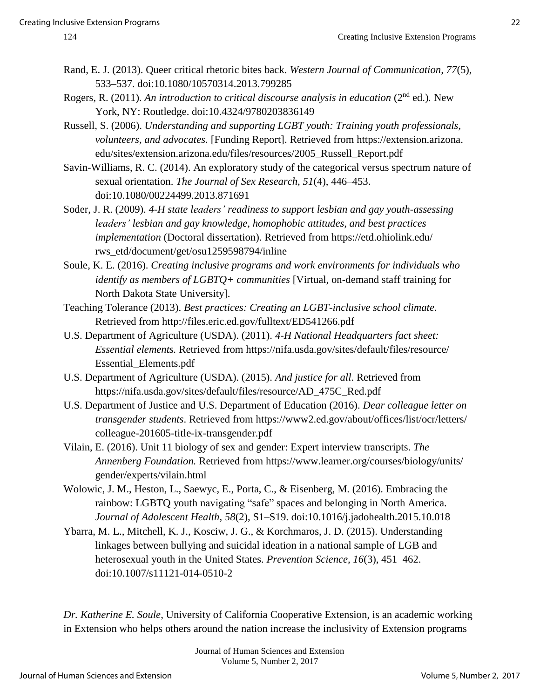- Rand, E. J. (2013). Queer critical rhetoric bites back. *Western Journal of Communication, 77*(5), 533–537. doi:10.1080/10570314.2013.799285
- Rogers, R. (2011). An introduction to critical discourse analysis in education (2<sup>nd</sup> ed.). New York, NY: Routledge. doi[:10.4324/9780203836149](https://doi.org/10.4324/9780203836149)
- Russell, S. (2006). *Understanding and supporting LGBT youth: Training youth professionals, volunteers, and advocates.* [Funding Report]. Retrieved from https://extension.arizona. edu/sites/extension.arizona.edu/files/resources/2005\_Russell\_Report.pdf
- Savin-Williams, R. C. (2014). An exploratory study of the categorical versus spectrum nature of sexual orientation. *The Journal of Sex Research, 51*(4), 446–453. doi:10.1080/00224499.2013.871691
- Soder, J. R. (2009). *4-H state leaders' readiness to support lesbian and gay youth-assessing leaders' lesbian and gay knowledge, homophobic attitudes, and best practices implementation* (Doctoral dissertation). Retrieved from https://etd.ohiolink.edu/ rws\_etd/document/get/osu1259598794/inline
- Soule, K. E. (2016). *Creating inclusive programs and work environments for individuals who identify as members of LGBTQ+ communities* [Virtual, on-demand staff training for North Dakota State University].
- Teaching Tolerance (2013). *Best practices: Creating an LGBT-inclusive school climate.* Retrieved from http://files.eric.ed.gov/fulltext/ED541266.pdf
- U.S. Department of Agriculture (USDA). (2011). *4-H National Headquarters fact sheet: Essential elements.* Retrieved from https://nifa.usda.gov/sites/default/files/resource/ Essential\_Elements.pdf
- U.S. Department of Agriculture (USDA). (2015). *And justice for all*. Retrieved from https://nifa.usda.gov/sites/default/files/resource/AD\_475C\_Red.pdf
- U.S. Department of Justice and U.S. Department of Education (2016). *Dear colleague letter on transgender students*. Retrieved from https://www2.ed.gov/about/offices/list/ocr/letters/ colleague-201605-title-ix-transgender.pdf
- Vilain, E. (2016). Unit 11 biology of sex and gender: Expert interview transcripts. *The Annenberg Foundation.* Retrieved from https://www.learner.org/courses/biology/units/ gender/experts/vilain.html
- Wolowic, J. M., Heston, L., Saewyc, E., Porta, C., & Eisenberg, M. (2016). Embracing the rainbow: LGBTQ youth navigating "safe" spaces and belonging in North America. *Journal of Adolescent Health, 58*(2), S1–S19. doi:10.1016/j.jadohealth.2015.10.018
- Ybarra, M. L., Mitchell, K. J., Kosciw, J. G., & Korchmaros, J. D. (2015). Understanding linkages between bullying and suicidal ideation in a national sample of LGB and heterosexual youth in the United States. *Prevention Science, 16*(3), 451–462. doi:10.1007/s11121-014-0510-2

*Dr. Katherine E. Soule*, University of California Cooperative Extension, is an academic working in Extension who helps others around the nation increase the inclusivity of Extension programs